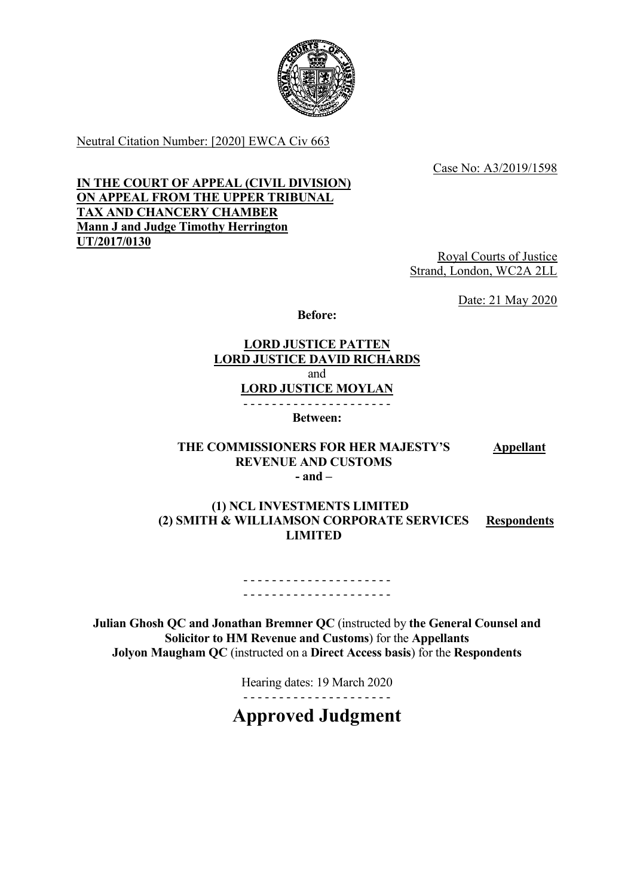

Neutral Citation Number: [2020] EWCA Civ 663

Case No: A3/2019/1598

## IN THE COURT OF APPEAL (CIVIL DIVISION) ON APPEAL FROM THE UPPER TRIBUNAL TAX AND CHANCERY CHAMBER Mann J and Judge Timothy Herrington UT/2017/0130

Royal Courts of Justice Strand, London, WC2A 2LL

Date: 21 May 2020

Before:

# LORD JUSTICE PATTEN LORD JUSTICE DAVID RICHARDS and

LORD JUSTICE MOYLAN

- - - - - - - - - - - - - - - - - - - - -

Between:

#### THE COMMISSIONERS FOR HER MAJESTY'S REVENUE AND CUSTOMS **Appellant** - and –

#### (1) NCL INVESTMENTS LIMITED (2) SMITH & WILLIAMSON CORPORATE SERVICES LIMITED **Respondents**

#### - - - - - - - - - - - - - - - - - - - - - - - - - - - - - - - - - - - - - - - - - -

Julian Ghosh QC and Jonathan Bremner QC (instructed by the General Counsel and Solicitor to HM Revenue and Customs) for the Appellants Jolyon Maugham QC (instructed on a Direct Access basis) for the Respondents

Hearing dates: 19 March 2020

- - - - - - - - - - - - - - - - - - - - -

Approved Judgment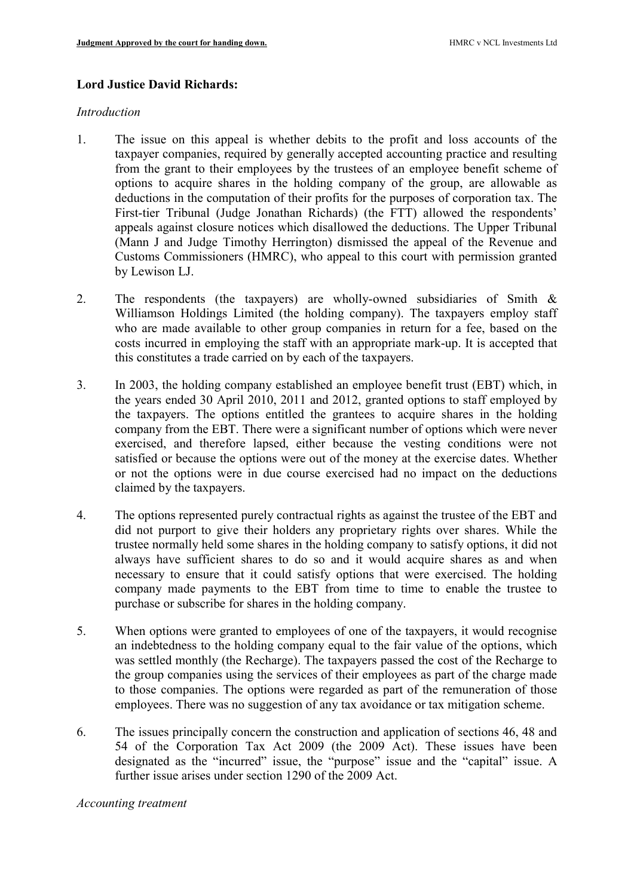## Lord Justice David Richards:

#### Introduction

- 1. The issue on this appeal is whether debits to the profit and loss accounts of the taxpayer companies, required by generally accepted accounting practice and resulting from the grant to their employees by the trustees of an employee benefit scheme of options to acquire shares in the holding company of the group, are allowable as deductions in the computation of their profits for the purposes of corporation tax. The First-tier Tribunal (Judge Jonathan Richards) (the FTT) allowed the respondents' appeals against closure notices which disallowed the deductions. The Upper Tribunal (Mann J and Judge Timothy Herrington) dismissed the appeal of the Revenue and Customs Commissioners (HMRC), who appeal to this court with permission granted by Lewison LJ.
- 2. The respondents (the taxpayers) are wholly-owned subsidiaries of Smith & Williamson Holdings Limited (the holding company). The taxpayers employ staff who are made available to other group companies in return for a fee, based on the costs incurred in employing the staff with an appropriate mark-up. It is accepted that this constitutes a trade carried on by each of the taxpayers.
- 3. In 2003, the holding company established an employee benefit trust (EBT) which, in the years ended 30 April 2010, 2011 and 2012, granted options to staff employed by the taxpayers. The options entitled the grantees to acquire shares in the holding company from the EBT. There were a significant number of options which were never exercised, and therefore lapsed, either because the vesting conditions were not satisfied or because the options were out of the money at the exercise dates. Whether or not the options were in due course exercised had no impact on the deductions claimed by the taxpayers.
- 4. The options represented purely contractual rights as against the trustee of the EBT and did not purport to give their holders any proprietary rights over shares. While the trustee normally held some shares in the holding company to satisfy options, it did not always have sufficient shares to do so and it would acquire shares as and when necessary to ensure that it could satisfy options that were exercised. The holding company made payments to the EBT from time to time to enable the trustee to purchase or subscribe for shares in the holding company.
- 5. When options were granted to employees of one of the taxpayers, it would recognise an indebtedness to the holding company equal to the fair value of the options, which was settled monthly (the Recharge). The taxpayers passed the cost of the Recharge to the group companies using the services of their employees as part of the charge made to those companies. The options were regarded as part of the remuneration of those employees. There was no suggestion of any tax avoidance or tax mitigation scheme.
- 6. The issues principally concern the construction and application of sections 46, 48 and 54 of the Corporation Tax Act 2009 (the 2009 Act). These issues have been designated as the "incurred" issue, the "purpose" issue and the "capital" issue. A further issue arises under section 1290 of the 2009 Act.

#### Accounting treatment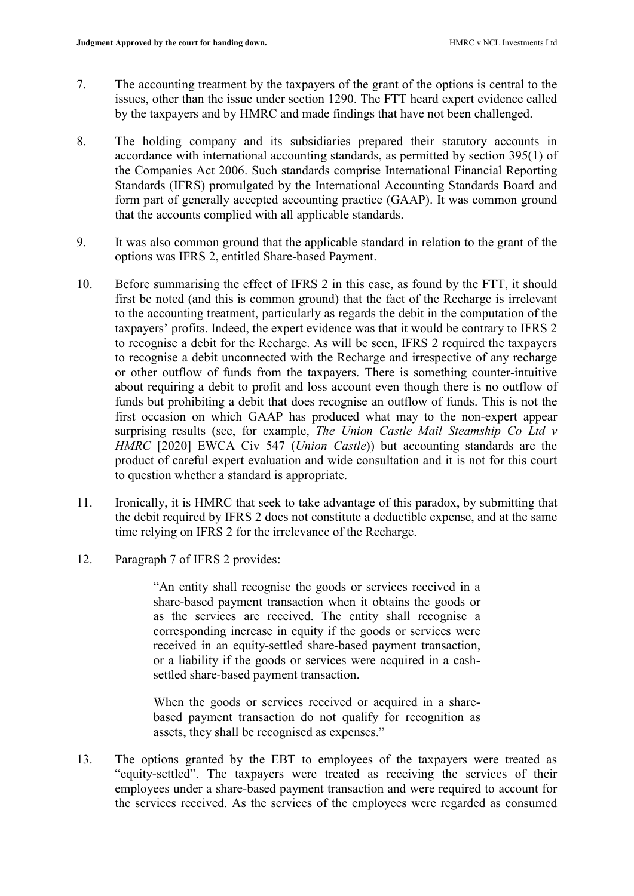- 7. The accounting treatment by the taxpayers of the grant of the options is central to the issues, other than the issue under section 1290. The FTT heard expert evidence called by the taxpayers and by HMRC and made findings that have not been challenged.
- 8. The holding company and its subsidiaries prepared their statutory accounts in accordance with international accounting standards, as permitted by section 395(1) of the Companies Act 2006. Such standards comprise International Financial Reporting Standards (IFRS) promulgated by the International Accounting Standards Board and form part of generally accepted accounting practice (GAAP). It was common ground that the accounts complied with all applicable standards.
- 9. It was also common ground that the applicable standard in relation to the grant of the options was IFRS 2, entitled Share-based Payment.
- 10. Before summarising the effect of IFRS 2 in this case, as found by the FTT, it should first be noted (and this is common ground) that the fact of the Recharge is irrelevant to the accounting treatment, particularly as regards the debit in the computation of the taxpayers' profits. Indeed, the expert evidence was that it would be contrary to IFRS 2 to recognise a debit for the Recharge. As will be seen, IFRS 2 required the taxpayers to recognise a debit unconnected with the Recharge and irrespective of any recharge or other outflow of funds from the taxpayers. There is something counter-intuitive about requiring a debit to profit and loss account even though there is no outflow of funds but prohibiting a debit that does recognise an outflow of funds. This is not the first occasion on which GAAP has produced what may to the non-expert appear surprising results (see, for example, *The Union Castle Mail Steamship Co Ltd v* HMRC [2020] EWCA Civ 547 (Union Castle)) but accounting standards are the product of careful expert evaluation and wide consultation and it is not for this court to question whether a standard is appropriate.
- 11. Ironically, it is HMRC that seek to take advantage of this paradox, by submitting that the debit required by IFRS 2 does not constitute a deductible expense, and at the same time relying on IFRS 2 for the irrelevance of the Recharge.
- 12. Paragraph 7 of IFRS 2 provides:

"An entity shall recognise the goods or services received in a share-based payment transaction when it obtains the goods or as the services are received. The entity shall recognise a corresponding increase in equity if the goods or services were received in an equity-settled share-based payment transaction, or a liability if the goods or services were acquired in a cashsettled share-based payment transaction.

When the goods or services received or acquired in a sharebased payment transaction do not qualify for recognition as assets, they shall be recognised as expenses."

13. The options granted by the EBT to employees of the taxpayers were treated as "equity-settled". The taxpayers were treated as receiving the services of their employees under a share-based payment transaction and were required to account for the services received. As the services of the employees were regarded as consumed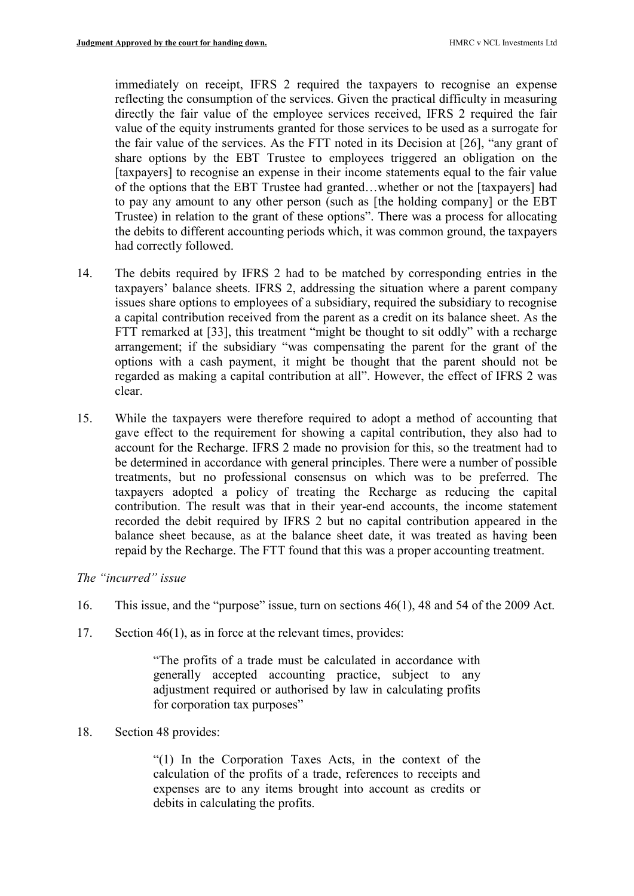immediately on receipt, IFRS 2 required the taxpayers to recognise an expense reflecting the consumption of the services. Given the practical difficulty in measuring directly the fair value of the employee services received, IFRS 2 required the fair value of the equity instruments granted for those services to be used as a surrogate for the fair value of the services. As the FTT noted in its Decision at [26], "any grant of share options by the EBT Trustee to employees triggered an obligation on the [taxpayers] to recognise an expense in their income statements equal to the fair value of the options that the EBT Trustee had granted…whether or not the [taxpayers] had to pay any amount to any other person (such as [the holding company] or the EBT Trustee) in relation to the grant of these options". There was a process for allocating the debits to different accounting periods which, it was common ground, the taxpayers had correctly followed.

- 14. The debits required by IFRS 2 had to be matched by corresponding entries in the taxpayers' balance sheets. IFRS 2, addressing the situation where a parent company issues share options to employees of a subsidiary, required the subsidiary to recognise a capital contribution received from the parent as a credit on its balance sheet. As the FTT remarked at [33], this treatment "might be thought to sit oddly" with a recharge arrangement; if the subsidiary "was compensating the parent for the grant of the options with a cash payment, it might be thought that the parent should not be regarded as making a capital contribution at all". However, the effect of IFRS 2 was clear.
- 15. While the taxpayers were therefore required to adopt a method of accounting that gave effect to the requirement for showing a capital contribution, they also had to account for the Recharge. IFRS 2 made no provision for this, so the treatment had to be determined in accordance with general principles. There were a number of possible treatments, but no professional consensus on which was to be preferred. The taxpayers adopted a policy of treating the Recharge as reducing the capital contribution. The result was that in their year-end accounts, the income statement recorded the debit required by IFRS 2 but no capital contribution appeared in the balance sheet because, as at the balance sheet date, it was treated as having been repaid by the Recharge. The FTT found that this was a proper accounting treatment.

## The "incurred" issue

- 16. This issue, and the "purpose" issue, turn on sections 46(1), 48 and 54 of the 2009 Act.
- 17. Section 46(1), as in force at the relevant times, provides:

"The profits of a trade must be calculated in accordance with generally accepted accounting practice, subject to any adjustment required or authorised by law in calculating profits for corporation tax purposes"

18. Section 48 provides:

"(1) In the Corporation Taxes Acts, in the context of the calculation of the profits of a trade, references to receipts and expenses are to any items brought into account as credits or debits in calculating the profits.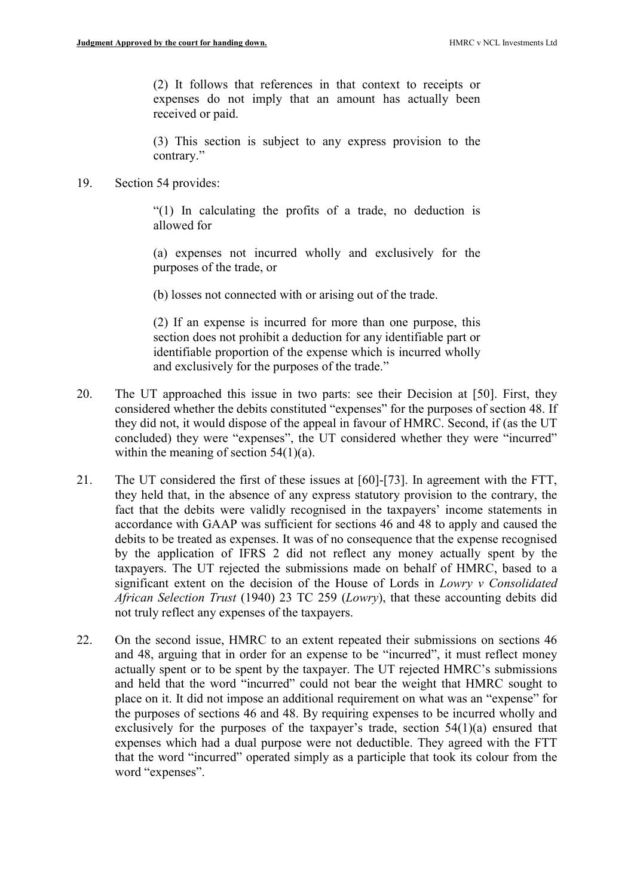(2) It follows that references in that context to receipts or expenses do not imply that an amount has actually been received or paid.

(3) This section is subject to any express provision to the contrary."

#### 19. Section 54 provides:

"(1) In calculating the profits of a trade, no deduction is allowed for

(a) expenses not incurred wholly and exclusively for the purposes of the trade, or

(b) losses not connected with or arising out of the trade.

(2) If an expense is incurred for more than one purpose, this section does not prohibit a deduction for any identifiable part or identifiable proportion of the expense which is incurred wholly and exclusively for the purposes of the trade."

- 20. The UT approached this issue in two parts: see their Decision at [50]. First, they considered whether the debits constituted "expenses" for the purposes of section 48. If they did not, it would dispose of the appeal in favour of HMRC. Second, if (as the UT concluded) they were "expenses", the UT considered whether they were "incurred" within the meaning of section  $54(1)(a)$ .
- 21. The UT considered the first of these issues at [60]-[73]. In agreement with the FTT, they held that, in the absence of any express statutory provision to the contrary, the fact that the debits were validly recognised in the taxpayers' income statements in accordance with GAAP was sufficient for sections 46 and 48 to apply and caused the debits to be treated as expenses. It was of no consequence that the expense recognised by the application of IFRS 2 did not reflect any money actually spent by the taxpayers. The UT rejected the submissions made on behalf of HMRC, based to a significant extent on the decision of the House of Lords in Lowry v Consolidated African Selection Trust (1940) 23 TC 259 (Lowry), that these accounting debits did not truly reflect any expenses of the taxpayers.
- 22. On the second issue, HMRC to an extent repeated their submissions on sections 46 and 48, arguing that in order for an expense to be "incurred", it must reflect money actually spent or to be spent by the taxpayer. The UT rejected HMRC's submissions and held that the word "incurred" could not bear the weight that HMRC sought to place on it. It did not impose an additional requirement on what was an "expense" for the purposes of sections 46 and 48. By requiring expenses to be incurred wholly and exclusively for the purposes of the taxpayer's trade, section 54(1)(a) ensured that expenses which had a dual purpose were not deductible. They agreed with the FTT that the word "incurred" operated simply as a participle that took its colour from the word "expenses".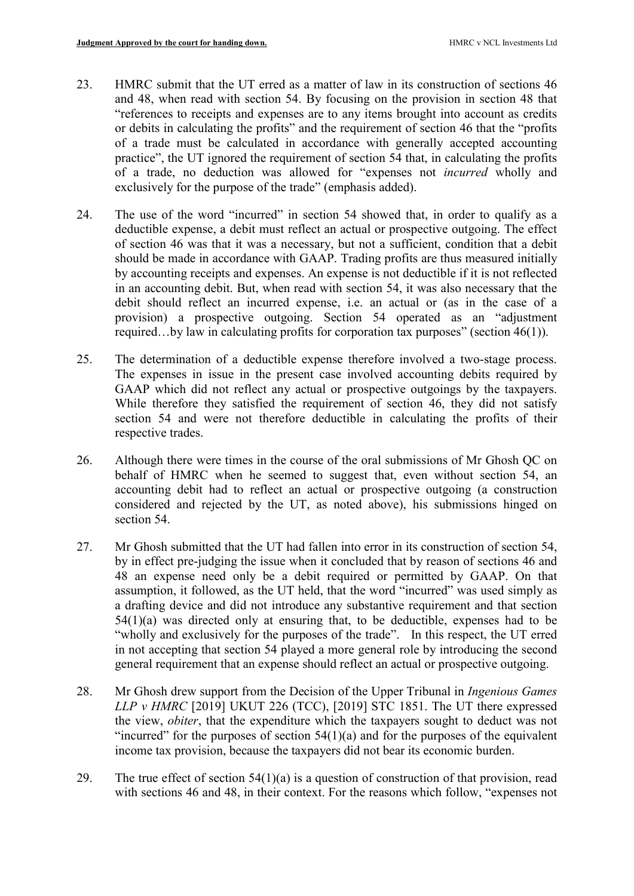- 23. HMRC submit that the UT erred as a matter of law in its construction of sections 46 and 48, when read with section 54. By focusing on the provision in section 48 that "references to receipts and expenses are to any items brought into account as credits or debits in calculating the profits" and the requirement of section 46 that the "profits of a trade must be calculated in accordance with generally accepted accounting practice", the UT ignored the requirement of section 54 that, in calculating the profits of a trade, no deduction was allowed for "expenses not incurred wholly and exclusively for the purpose of the trade" (emphasis added).
- 24. The use of the word "incurred" in section 54 showed that, in order to qualify as a deductible expense, a debit must reflect an actual or prospective outgoing. The effect of section 46 was that it was a necessary, but not a sufficient, condition that a debit should be made in accordance with GAAP. Trading profits are thus measured initially by accounting receipts and expenses. An expense is not deductible if it is not reflected in an accounting debit. But, when read with section 54, it was also necessary that the debit should reflect an incurred expense, i.e. an actual or (as in the case of a provision) a prospective outgoing. Section 54 operated as an "adjustment required…by law in calculating profits for corporation tax purposes" (section 46(1)).
- 25. The determination of a deductible expense therefore involved a two-stage process. The expenses in issue in the present case involved accounting debits required by GAAP which did not reflect any actual or prospective outgoings by the taxpayers. While therefore they satisfied the requirement of section 46, they did not satisfy section 54 and were not therefore deductible in calculating the profits of their respective trades.
- 26. Although there were times in the course of the oral submissions of Mr Ghosh QC on behalf of HMRC when he seemed to suggest that, even without section 54, an accounting debit had to reflect an actual or prospective outgoing (a construction considered and rejected by the UT, as noted above), his submissions hinged on section 54.
- 27. Mr Ghosh submitted that the UT had fallen into error in its construction of section 54, by in effect pre-judging the issue when it concluded that by reason of sections 46 and 48 an expense need only be a debit required or permitted by GAAP. On that assumption, it followed, as the UT held, that the word "incurred" was used simply as a drafting device and did not introduce any substantive requirement and that section 54(1)(a) was directed only at ensuring that, to be deductible, expenses had to be "wholly and exclusively for the purposes of the trade". In this respect, the UT erred in not accepting that section 54 played a more general role by introducing the second general requirement that an expense should reflect an actual or prospective outgoing.
- 28. Mr Ghosh drew support from the Decision of the Upper Tribunal in *Ingenious Games* LLP v HMRC [2019] UKUT 226 (TCC), [2019] STC 1851. The UT there expressed the view, obiter, that the expenditure which the taxpayers sought to deduct was not "incurred" for the purposes of section  $54(1)(a)$  and for the purposes of the equivalent income tax provision, because the taxpayers did not bear its economic burden.
- 29. The true effect of section  $54(1)(a)$  is a question of construction of that provision, read with sections 46 and 48, in their context. For the reasons which follow, "expenses not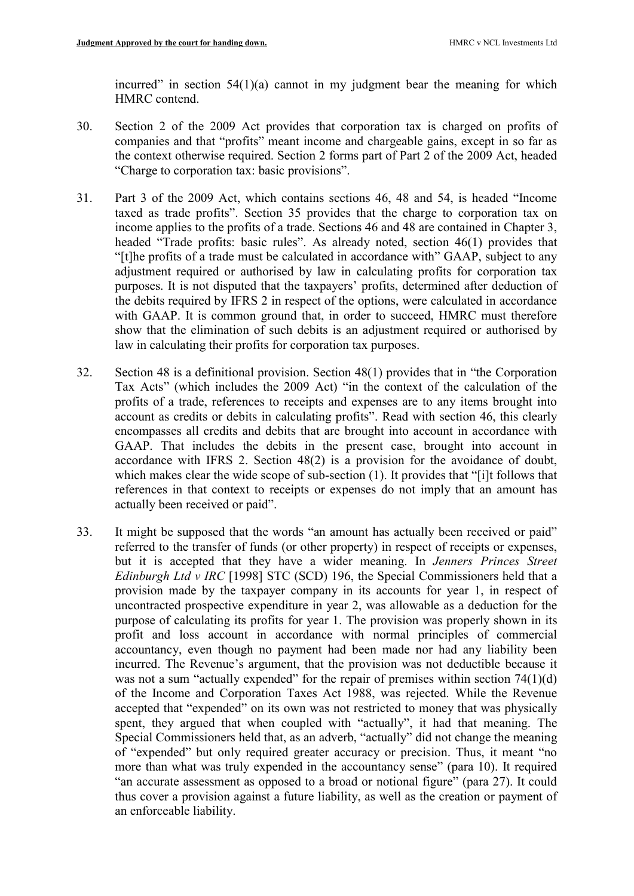incurred" in section  $54(1)(a)$  cannot in my judgment bear the meaning for which HMRC contend.

- 30. Section 2 of the 2009 Act provides that corporation tax is charged on profits of companies and that "profits" meant income and chargeable gains, except in so far as the context otherwise required. Section 2 forms part of Part 2 of the 2009 Act, headed "Charge to corporation tax: basic provisions".
- 31. Part 3 of the 2009 Act, which contains sections 46, 48 and 54, is headed "Income taxed as trade profits". Section 35 provides that the charge to corporation tax on income applies to the profits of a trade. Sections 46 and 48 are contained in Chapter 3, headed "Trade profits: basic rules". As already noted, section 46(1) provides that "[t]he profits of a trade must be calculated in accordance with" GAAP, subject to any adjustment required or authorised by law in calculating profits for corporation tax purposes. It is not disputed that the taxpayers' profits, determined after deduction of the debits required by IFRS 2 in respect of the options, were calculated in accordance with GAAP. It is common ground that, in order to succeed, HMRC must therefore show that the elimination of such debits is an adjustment required or authorised by law in calculating their profits for corporation tax purposes.
- 32. Section 48 is a definitional provision. Section 48(1) provides that in "the Corporation Tax Acts" (which includes the 2009 Act) "in the context of the calculation of the profits of a trade, references to receipts and expenses are to any items brought into account as credits or debits in calculating profits". Read with section 46, this clearly encompasses all credits and debits that are brought into account in accordance with GAAP. That includes the debits in the present case, brought into account in accordance with IFRS 2. Section 48(2) is a provision for the avoidance of doubt, which makes clear the wide scope of sub-section (1). It provides that "[i]t follows that references in that context to receipts or expenses do not imply that an amount has actually been received or paid".
- 33. It might be supposed that the words "an amount has actually been received or paid" referred to the transfer of funds (or other property) in respect of receipts or expenses, but it is accepted that they have a wider meaning. In Jenners Princes Street Edinburgh Ltd v IRC [1998] STC (SCD) 196, the Special Commissioners held that a provision made by the taxpayer company in its accounts for year 1, in respect of uncontracted prospective expenditure in year 2, was allowable as a deduction for the purpose of calculating its profits for year 1. The provision was properly shown in its profit and loss account in accordance with normal principles of commercial accountancy, even though no payment had been made nor had any liability been incurred. The Revenue's argument, that the provision was not deductible because it was not a sum "actually expended" for the repair of premises within section 74(1)(d) of the Income and Corporation Taxes Act 1988, was rejected. While the Revenue accepted that "expended" on its own was not restricted to money that was physically spent, they argued that when coupled with "actually", it had that meaning. The Special Commissioners held that, as an adverb, "actually" did not change the meaning of "expended" but only required greater accuracy or precision. Thus, it meant "no more than what was truly expended in the accountancy sense" (para 10). It required "an accurate assessment as opposed to a broad or notional figure" (para 27). It could thus cover a provision against a future liability, as well as the creation or payment of an enforceable liability.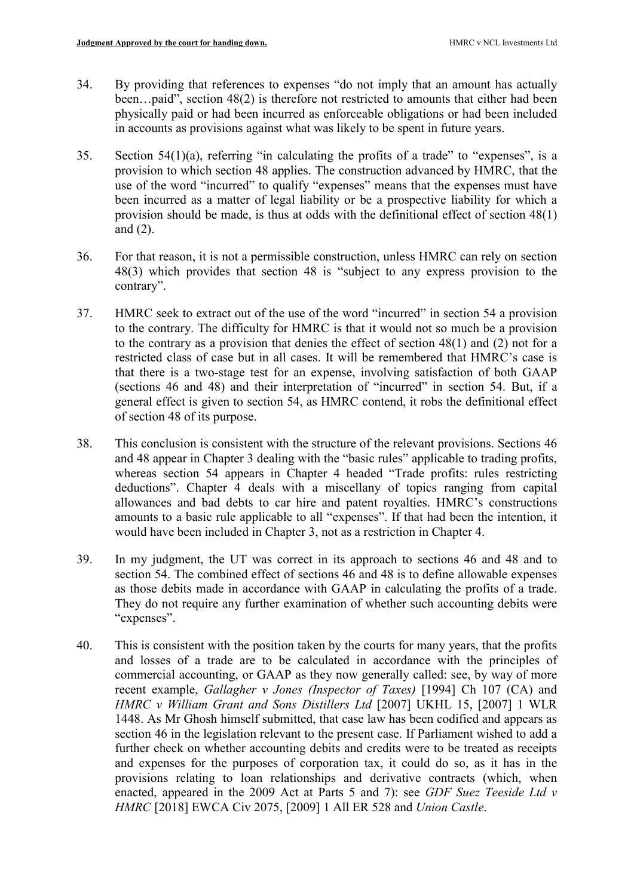- 34. By providing that references to expenses "do not imply that an amount has actually been…paid", section 48(2) is therefore not restricted to amounts that either had been physically paid or had been incurred as enforceable obligations or had been included in accounts as provisions against what was likely to be spent in future years.
- 35. Section 54(1)(a), referring "in calculating the profits of a trade" to "expenses", is a provision to which section 48 applies. The construction advanced by HMRC, that the use of the word "incurred" to qualify "expenses" means that the expenses must have been incurred as a matter of legal liability or be a prospective liability for which a provision should be made, is thus at odds with the definitional effect of section 48(1) and (2).
- 36. For that reason, it is not a permissible construction, unless HMRC can rely on section 48(3) which provides that section 48 is "subject to any express provision to the contrary".
- 37. HMRC seek to extract out of the use of the word "incurred" in section 54 a provision to the contrary. The difficulty for HMRC is that it would not so much be a provision to the contrary as a provision that denies the effect of section 48(1) and (2) not for a restricted class of case but in all cases. It will be remembered that HMRC's case is that there is a two-stage test for an expense, involving satisfaction of both GAAP (sections 46 and 48) and their interpretation of "incurred" in section 54. But, if a general effect is given to section 54, as HMRC contend, it robs the definitional effect of section 48 of its purpose.
- 38. This conclusion is consistent with the structure of the relevant provisions. Sections 46 and 48 appear in Chapter 3 dealing with the "basic rules" applicable to trading profits, whereas section 54 appears in Chapter 4 headed "Trade profits: rules restricting deductions". Chapter 4 deals with a miscellany of topics ranging from capital allowances and bad debts to car hire and patent royalties. HMRC's constructions amounts to a basic rule applicable to all "expenses". If that had been the intention, it would have been included in Chapter 3, not as a restriction in Chapter 4.
- 39. In my judgment, the UT was correct in its approach to sections 46 and 48 and to section 54. The combined effect of sections 46 and 48 is to define allowable expenses as those debits made in accordance with GAAP in calculating the profits of a trade. They do not require any further examination of whether such accounting debits were "expenses".
- 40. This is consistent with the position taken by the courts for many years, that the profits and losses of a trade are to be calculated in accordance with the principles of commercial accounting, or GAAP as they now generally called: see, by way of more recent example, Gallagher v Jones (Inspector of Taxes) [1994] Ch 107 (CA) and HMRC v William Grant and Sons Distillers Ltd [2007] UKHL 15, [2007] 1 WLR 1448. As Mr Ghosh himself submitted, that case law has been codified and appears as section 46 in the legislation relevant to the present case. If Parliament wished to add a further check on whether accounting debits and credits were to be treated as receipts and expenses for the purposes of corporation tax, it could do so, as it has in the provisions relating to loan relationships and derivative contracts (which, when enacted, appeared in the 2009 Act at Parts 5 and 7): see GDF Suez Teeside Ltd v HMRC [2018] EWCA Civ 2075, [2009] 1 All ER 528 and Union Castle.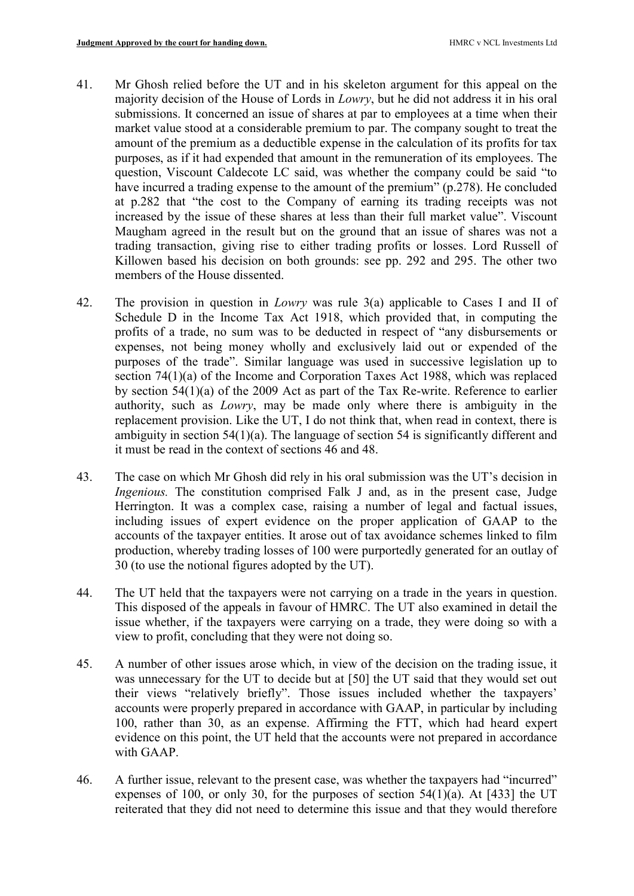- 41. Mr Ghosh relied before the UT and in his skeleton argument for this appeal on the majority decision of the House of Lords in Lowry, but he did not address it in his oral submissions. It concerned an issue of shares at par to employees at a time when their market value stood at a considerable premium to par. The company sought to treat the amount of the premium as a deductible expense in the calculation of its profits for tax purposes, as if it had expended that amount in the remuneration of its employees. The question, Viscount Caldecote LC said, was whether the company could be said "to have incurred a trading expense to the amount of the premium" (p.278). He concluded at p.282 that "the cost to the Company of earning its trading receipts was not increased by the issue of these shares at less than their full market value". Viscount Maugham agreed in the result but on the ground that an issue of shares was not a trading transaction, giving rise to either trading profits or losses. Lord Russell of Killowen based his decision on both grounds: see pp. 292 and 295. The other two members of the House dissented.
- 42. The provision in question in Lowry was rule 3(a) applicable to Cases I and II of Schedule D in the Income Tax Act 1918, which provided that, in computing the profits of a trade, no sum was to be deducted in respect of "any disbursements or expenses, not being money wholly and exclusively laid out or expended of the purposes of the trade". Similar language was used in successive legislation up to section 74(1)(a) of the Income and Corporation Taxes Act 1988, which was replaced by section 54(1)(a) of the 2009 Act as part of the Tax Re-write. Reference to earlier authority, such as Lowry, may be made only where there is ambiguity in the replacement provision. Like the UT, I do not think that, when read in context, there is ambiguity in section 54(1)(a). The language of section 54 is significantly different and it must be read in the context of sections 46 and 48.
- 43. The case on which Mr Ghosh did rely in his oral submission was the UT's decision in Ingenious. The constitution comprised Falk J and, as in the present case, Judge Herrington. It was a complex case, raising a number of legal and factual issues, including issues of expert evidence on the proper application of GAAP to the accounts of the taxpayer entities. It arose out of tax avoidance schemes linked to film production, whereby trading losses of 100 were purportedly generated for an outlay of 30 (to use the notional figures adopted by the UT).
- 44. The UT held that the taxpayers were not carrying on a trade in the years in question. This disposed of the appeals in favour of HMRC. The UT also examined in detail the issue whether, if the taxpayers were carrying on a trade, they were doing so with a view to profit, concluding that they were not doing so.
- 45. A number of other issues arose which, in view of the decision on the trading issue, it was unnecessary for the UT to decide but at [50] the UT said that they would set out their views "relatively briefly". Those issues included whether the taxpayers' accounts were properly prepared in accordance with GAAP, in particular by including 100, rather than 30, as an expense. Affirming the FTT, which had heard expert evidence on this point, the UT held that the accounts were not prepared in accordance with GAAP.
- 46. A further issue, relevant to the present case, was whether the taxpayers had "incurred" expenses of 100, or only 30, for the purposes of section  $54(1)(a)$ . At [433] the UT reiterated that they did not need to determine this issue and that they would therefore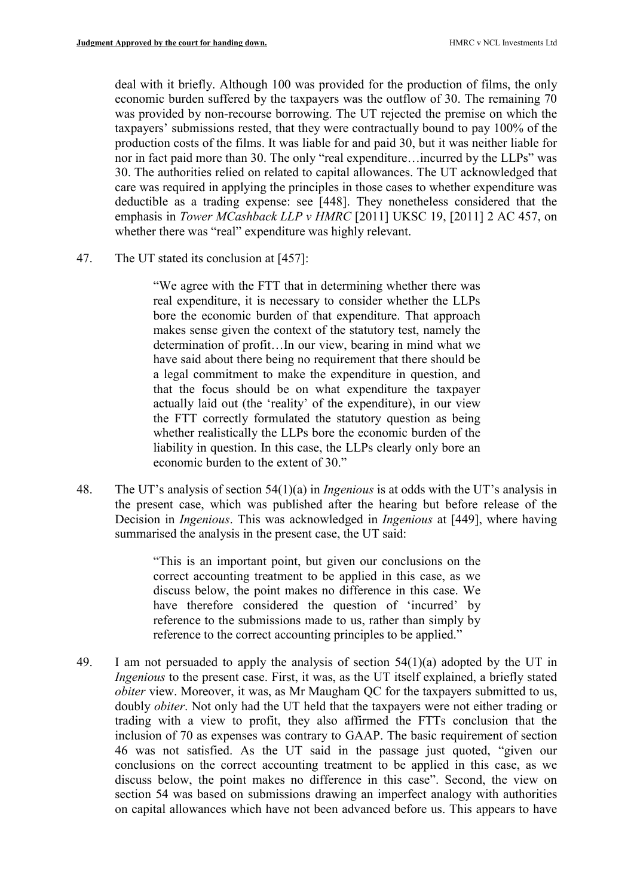deal with it briefly. Although 100 was provided for the production of films, the only economic burden suffered by the taxpayers was the outflow of 30. The remaining 70 was provided by non-recourse borrowing. The UT rejected the premise on which the taxpayers' submissions rested, that they were contractually bound to pay 100% of the production costs of the films. It was liable for and paid 30, but it was neither liable for nor in fact paid more than 30. The only "real expenditure…incurred by the LLPs" was 30. The authorities relied on related to capital allowances. The UT acknowledged that care was required in applying the principles in those cases to whether expenditure was deductible as a trading expense: see [448]. They nonetheless considered that the emphasis in Tower MCashback LLP v HMRC [2011] UKSC 19, [2011] 2 AC 457, on whether there was "real" expenditure was highly relevant.

47. The UT stated its conclusion at [457]:

"We agree with the FTT that in determining whether there was real expenditure, it is necessary to consider whether the LLPs bore the economic burden of that expenditure. That approach makes sense given the context of the statutory test, namely the determination of profit…In our view, bearing in mind what we have said about there being no requirement that there should be a legal commitment to make the expenditure in question, and that the focus should be on what expenditure the taxpayer actually laid out (the 'reality' of the expenditure), in our view the FTT correctly formulated the statutory question as being whether realistically the LLPs bore the economic burden of the liability in question. In this case, the LLPs clearly only bore an economic burden to the extent of 30."

48. The UT's analysis of section 54(1)(a) in *Ingenious* is at odds with the UT's analysis in the present case, which was published after the hearing but before release of the Decision in *Ingenious*. This was acknowledged in *Ingenious* at [449], where having summarised the analysis in the present case, the UT said:

> "This is an important point, but given our conclusions on the correct accounting treatment to be applied in this case, as we discuss below, the point makes no difference in this case. We have therefore considered the question of 'incurred' by reference to the submissions made to us, rather than simply by reference to the correct accounting principles to be applied."

49. I am not persuaded to apply the analysis of section  $54(1)(a)$  adopted by the UT in Ingenious to the present case. First, it was, as the UT itself explained, a briefly stated obiter view. Moreover, it was, as Mr Maugham QC for the taxpayers submitted to us, doubly obiter. Not only had the UT held that the taxpayers were not either trading or trading with a view to profit, they also affirmed the FTTs conclusion that the inclusion of 70 as expenses was contrary to GAAP. The basic requirement of section 46 was not satisfied. As the UT said in the passage just quoted, "given our conclusions on the correct accounting treatment to be applied in this case, as we discuss below, the point makes no difference in this case". Second, the view on section 54 was based on submissions drawing an imperfect analogy with authorities on capital allowances which have not been advanced before us. This appears to have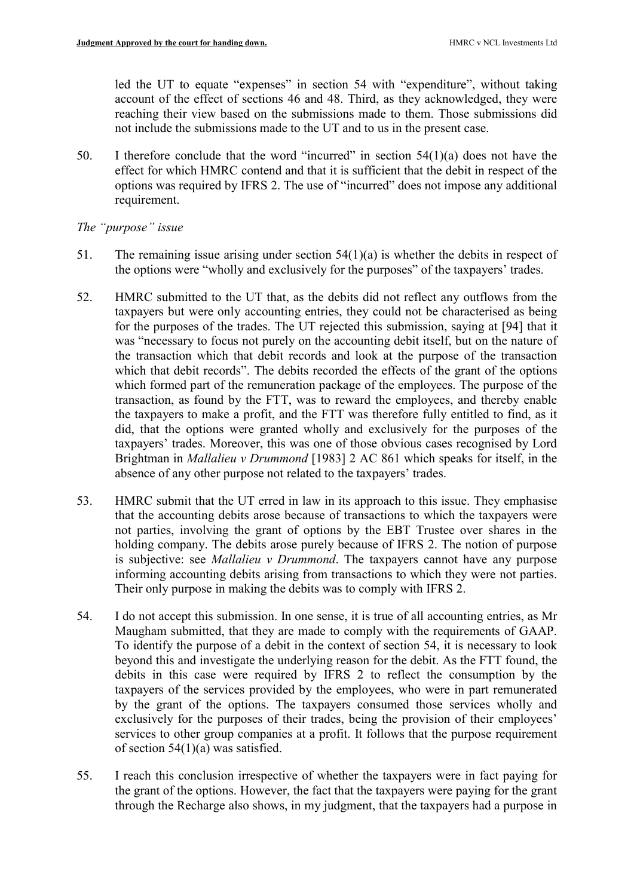led the UT to equate "expenses" in section 54 with "expenditure", without taking account of the effect of sections 46 and 48. Third, as they acknowledged, they were reaching their view based on the submissions made to them. Those submissions did not include the submissions made to the UT and to us in the present case.

50. I therefore conclude that the word "incurred" in section  $54(1)(a)$  does not have the effect for which HMRC contend and that it is sufficient that the debit in respect of the options was required by IFRS 2. The use of "incurred" does not impose any additional requirement.

## The "purpose" issue

- 51. The remaining issue arising under section 54(1)(a) is whether the debits in respect of the options were "wholly and exclusively for the purposes" of the taxpayers' trades.
- 52. HMRC submitted to the UT that, as the debits did not reflect any outflows from the taxpayers but were only accounting entries, they could not be characterised as being for the purposes of the trades. The UT rejected this submission, saying at [94] that it was "necessary to focus not purely on the accounting debit itself, but on the nature of the transaction which that debit records and look at the purpose of the transaction which that debit records". The debits recorded the effects of the grant of the options which formed part of the remuneration package of the employees. The purpose of the transaction, as found by the FTT, was to reward the employees, and thereby enable the taxpayers to make a profit, and the FTT was therefore fully entitled to find, as it did, that the options were granted wholly and exclusively for the purposes of the taxpayers' trades. Moreover, this was one of those obvious cases recognised by Lord Brightman in *Mallalieu v Drummond* [1983] 2 AC 861 which speaks for itself, in the absence of any other purpose not related to the taxpayers' trades.
- 53. HMRC submit that the UT erred in law in its approach to this issue. They emphasise that the accounting debits arose because of transactions to which the taxpayers were not parties, involving the grant of options by the EBT Trustee over shares in the holding company. The debits arose purely because of IFRS 2. The notion of purpose is subjective: see Mallalieu v Drummond. The taxpayers cannot have any purpose informing accounting debits arising from transactions to which they were not parties. Their only purpose in making the debits was to comply with IFRS 2.
- 54. I do not accept this submission. In one sense, it is true of all accounting entries, as Mr Maugham submitted, that they are made to comply with the requirements of GAAP. To identify the purpose of a debit in the context of section 54, it is necessary to look beyond this and investigate the underlying reason for the debit. As the FTT found, the debits in this case were required by IFRS 2 to reflect the consumption by the taxpayers of the services provided by the employees, who were in part remunerated by the grant of the options. The taxpayers consumed those services wholly and exclusively for the purposes of their trades, being the provision of their employees' services to other group companies at a profit. It follows that the purpose requirement of section 54(1)(a) was satisfied.
- 55. I reach this conclusion irrespective of whether the taxpayers were in fact paying for the grant of the options. However, the fact that the taxpayers were paying for the grant through the Recharge also shows, in my judgment, that the taxpayers had a purpose in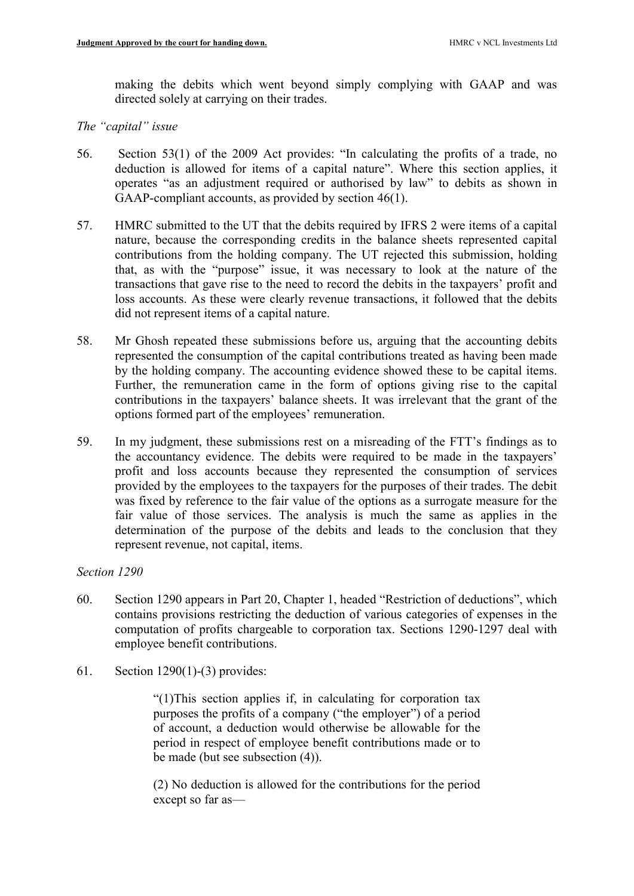making the debits which went beyond simply complying with GAAP and was directed solely at carrying on their trades.

## The "capital" issue

- 56. Section 53(1) of the 2009 Act provides: "In calculating the profits of a trade, no deduction is allowed for items of a capital nature". Where this section applies, it operates "as an adjustment required or authorised by law" to debits as shown in GAAP-compliant accounts, as provided by section 46(1).
- 57. HMRC submitted to the UT that the debits required by IFRS 2 were items of a capital nature, because the corresponding credits in the balance sheets represented capital contributions from the holding company. The UT rejected this submission, holding that, as with the "purpose" issue, it was necessary to look at the nature of the transactions that gave rise to the need to record the debits in the taxpayers' profit and loss accounts. As these were clearly revenue transactions, it followed that the debits did not represent items of a capital nature.
- 58. Mr Ghosh repeated these submissions before us, arguing that the accounting debits represented the consumption of the capital contributions treated as having been made by the holding company. The accounting evidence showed these to be capital items. Further, the remuneration came in the form of options giving rise to the capital contributions in the taxpayers' balance sheets. It was irrelevant that the grant of the options formed part of the employees' remuneration.
- 59. In my judgment, these submissions rest on a misreading of the FTT's findings as to the accountancy evidence. The debits were required to be made in the taxpayers' profit and loss accounts because they represented the consumption of services provided by the employees to the taxpayers for the purposes of their trades. The debit was fixed by reference to the fair value of the options as a surrogate measure for the fair value of those services. The analysis is much the same as applies in the determination of the purpose of the debits and leads to the conclusion that they represent revenue, not capital, items.

## Section 1290

- 60. Section 1290 appears in Part 20, Chapter 1, headed "Restriction of deductions", which contains provisions restricting the deduction of various categories of expenses in the computation of profits chargeable to corporation tax. Sections 1290-1297 deal with employee benefit contributions.
- 61. Section 1290(1)-(3) provides:

"(1)This section applies if, in calculating for corporation tax purposes the profits of a company ("the employer") of a period of account, a deduction would otherwise be allowable for the period in respect of employee benefit contributions made or to be made (but see subsection (4)).

(2) No deduction is allowed for the contributions for the period except so far as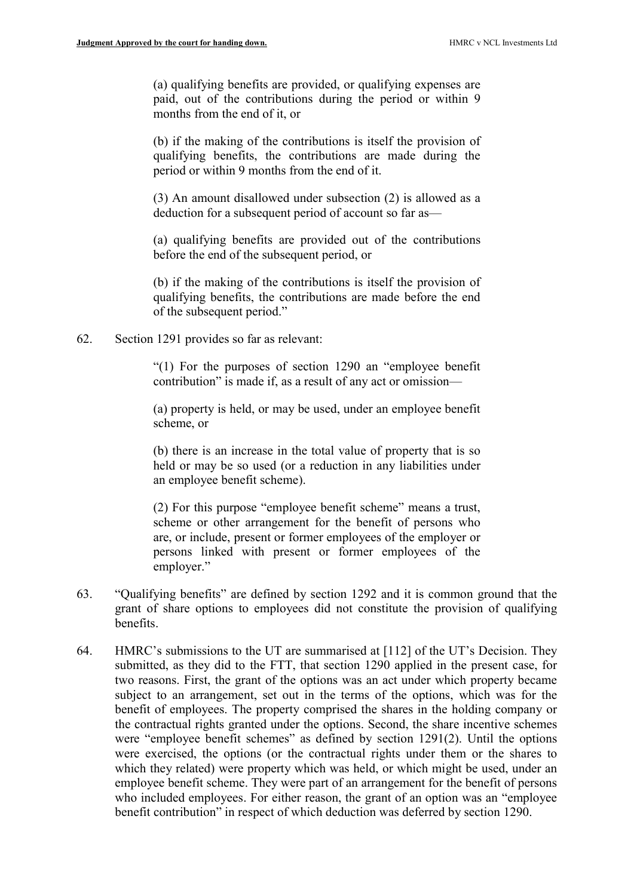(a) qualifying benefits are provided, or qualifying expenses are paid, out of the contributions during the period or within 9 months from the end of it, or

(b) if the making of the contributions is itself the provision of qualifying benefits, the contributions are made during the period or within 9 months from the end of it.

(3) An amount disallowed under subsection (2) is allowed as a deduction for a subsequent period of account so far as—

(a) qualifying benefits are provided out of the contributions before the end of the subsequent period, or

(b) if the making of the contributions is itself the provision of qualifying benefits, the contributions are made before the end of the subsequent period."

62. Section 1291 provides so far as relevant:

"(1) For the purposes of section 1290 an "employee benefit contribution" is made if, as a result of any act or omission—

(a) property is held, or may be used, under an employee benefit scheme, or

(b) there is an increase in the total value of property that is so held or may be so used (or a reduction in any liabilities under an employee benefit scheme).

(2) For this purpose "employee benefit scheme" means a trust, scheme or other arrangement for the benefit of persons who are, or include, present or former employees of the employer or persons linked with present or former employees of the employer."

- 63. "Qualifying benefits" are defined by section 1292 and it is common ground that the grant of share options to employees did not constitute the provision of qualifying benefits.
- 64. HMRC's submissions to the UT are summarised at [112] of the UT's Decision. They submitted, as they did to the FTT, that section 1290 applied in the present case, for two reasons. First, the grant of the options was an act under which property became subject to an arrangement, set out in the terms of the options, which was for the benefit of employees. The property comprised the shares in the holding company or the contractual rights granted under the options. Second, the share incentive schemes were "employee benefit schemes" as defined by section 1291(2). Until the options were exercised, the options (or the contractual rights under them or the shares to which they related) were property which was held, or which might be used, under an employee benefit scheme. They were part of an arrangement for the benefit of persons who included employees. For either reason, the grant of an option was an "employee benefit contribution" in respect of which deduction was deferred by section 1290.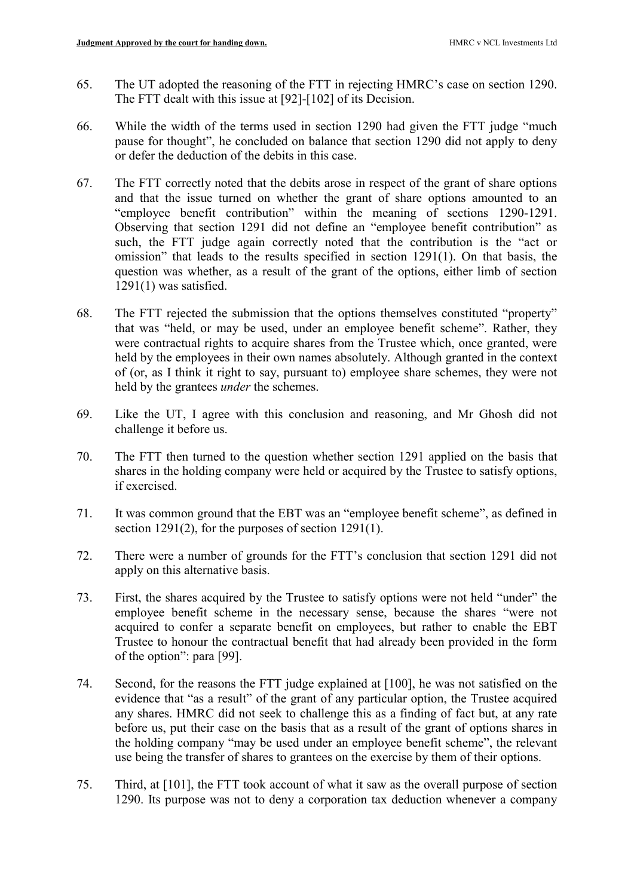- 65. The UT adopted the reasoning of the FTT in rejecting HMRC's case on section 1290. The FTT dealt with this issue at [92]-[102] of its Decision.
- 66. While the width of the terms used in section 1290 had given the FTT judge "much pause for thought", he concluded on balance that section 1290 did not apply to deny or defer the deduction of the debits in this case.
- 67. The FTT correctly noted that the debits arose in respect of the grant of share options and that the issue turned on whether the grant of share options amounted to an "employee benefit contribution" within the meaning of sections 1290-1291. Observing that section 1291 did not define an "employee benefit contribution" as such, the FTT judge again correctly noted that the contribution is the "act or omission" that leads to the results specified in section 1291(1). On that basis, the question was whether, as a result of the grant of the options, either limb of section 1291(1) was satisfied.
- 68. The FTT rejected the submission that the options themselves constituted "property" that was "held, or may be used, under an employee benefit scheme". Rather, they were contractual rights to acquire shares from the Trustee which, once granted, were held by the employees in their own names absolutely. Although granted in the context of (or, as I think it right to say, pursuant to) employee share schemes, they were not held by the grantees under the schemes.
- 69. Like the UT, I agree with this conclusion and reasoning, and Mr Ghosh did not challenge it before us.
- 70. The FTT then turned to the question whether section 1291 applied on the basis that shares in the holding company were held or acquired by the Trustee to satisfy options, if exercised.
- 71. It was common ground that the EBT was an "employee benefit scheme", as defined in section 1291(2), for the purposes of section 1291(1).
- 72. There were a number of grounds for the FTT's conclusion that section 1291 did not apply on this alternative basis.
- 73. First, the shares acquired by the Trustee to satisfy options were not held "under" the employee benefit scheme in the necessary sense, because the shares "were not acquired to confer a separate benefit on employees, but rather to enable the EBT Trustee to honour the contractual benefit that had already been provided in the form of the option": para [99].
- 74. Second, for the reasons the FTT judge explained at [100], he was not satisfied on the evidence that "as a result" of the grant of any particular option, the Trustee acquired any shares. HMRC did not seek to challenge this as a finding of fact but, at any rate before us, put their case on the basis that as a result of the grant of options shares in the holding company "may be used under an employee benefit scheme", the relevant use being the transfer of shares to grantees on the exercise by them of their options.
- 75. Third, at [101], the FTT took account of what it saw as the overall purpose of section 1290. Its purpose was not to deny a corporation tax deduction whenever a company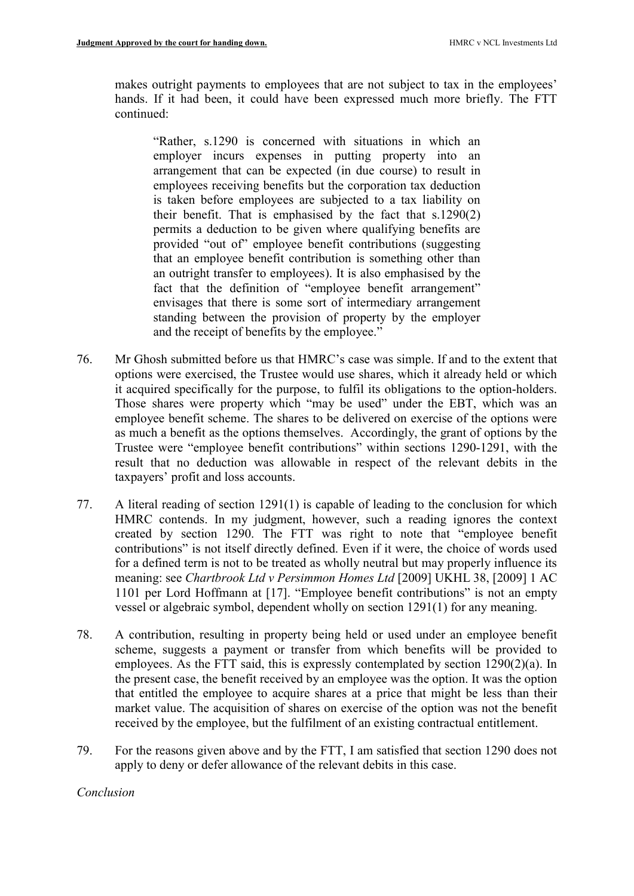makes outright payments to employees that are not subject to tax in the employees' hands. If it had been, it could have been expressed much more briefly. The FTT continued:

"Rather, s.1290 is concerned with situations in which an employer incurs expenses in putting property into an arrangement that can be expected (in due course) to result in employees receiving benefits but the corporation tax deduction is taken before employees are subjected to a tax liability on their benefit. That is emphasised by the fact that s.1290(2) permits a deduction to be given where qualifying benefits are provided "out of" employee benefit contributions (suggesting that an employee benefit contribution is something other than an outright transfer to employees). It is also emphasised by the fact that the definition of "employee benefit arrangement" envisages that there is some sort of intermediary arrangement standing between the provision of property by the employer and the receipt of benefits by the employee."

- 76. Mr Ghosh submitted before us that HMRC's case was simple. If and to the extent that options were exercised, the Trustee would use shares, which it already held or which it acquired specifically for the purpose, to fulfil its obligations to the option-holders. Those shares were property which "may be used" under the EBT, which was an employee benefit scheme. The shares to be delivered on exercise of the options were as much a benefit as the options themselves. Accordingly, the grant of options by the Trustee were "employee benefit contributions" within sections 1290-1291, with the result that no deduction was allowable in respect of the relevant debits in the taxpayers' profit and loss accounts.
- 77. A literal reading of section 1291(1) is capable of leading to the conclusion for which HMRC contends. In my judgment, however, such a reading ignores the context created by section 1290. The FTT was right to note that "employee benefit contributions" is not itself directly defined. Even if it were, the choice of words used for a defined term is not to be treated as wholly neutral but may properly influence its meaning: see Chartbrook Ltd v Persimmon Homes Ltd [2009] UKHL 38, [2009] 1 AC 1101 per Lord Hoffmann at [17]. "Employee benefit contributions" is not an empty vessel or algebraic symbol, dependent wholly on section 1291(1) for any meaning.
- 78. A contribution, resulting in property being held or used under an employee benefit scheme, suggests a payment or transfer from which benefits will be provided to employees. As the FTT said, this is expressly contemplated by section 1290(2)(a). In the present case, the benefit received by an employee was the option. It was the option that entitled the employee to acquire shares at a price that might be less than their market value. The acquisition of shares on exercise of the option was not the benefit received by the employee, but the fulfilment of an existing contractual entitlement.
- 79. For the reasons given above and by the FTT, I am satisfied that section 1290 does not apply to deny or defer allowance of the relevant debits in this case.

## Conclusion